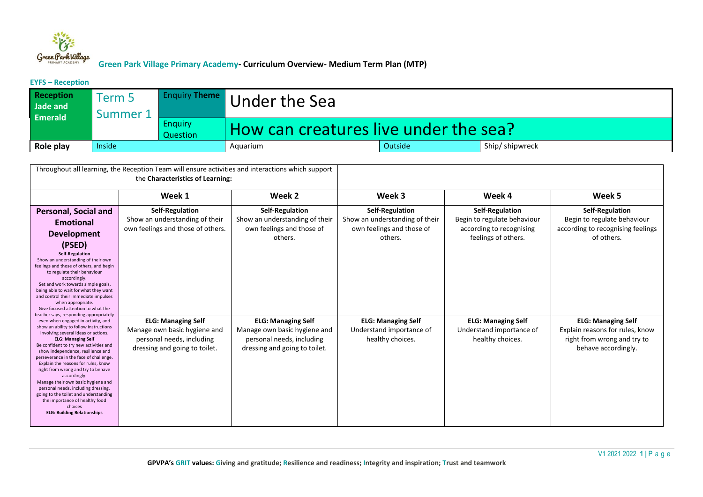

**EYFS – Reception**

| <b>Reception</b><br>Jade and<br><b>Emerald</b> | Term 5<br>Summer 1 |                            | <b>Enquiry Theme</b> Under the Sea    |  |  |  |  |  |
|------------------------------------------------|--------------------|----------------------------|---------------------------------------|--|--|--|--|--|
|                                                |                    | <b>Enguiry</b><br>Question | How can creatures live under the sea? |  |  |  |  |  |
| Role play                                      | Inside             |                            | Ship/shipwreck<br>Outside<br>Aquarium |  |  |  |  |  |

| Throughout all learning, the Reception Team will ensure activities and interactions which support<br>the Characteristics of Learning:                                                                                                                                                                                                                                                                                                                                                                                                                                                                                                                                                                                                                                                                                                                                                                                                                                                                                                                    |                                                                                                                         |                                                                                                                         |                                                                                                  |                                                                                                          |                                                                                                                    |
|----------------------------------------------------------------------------------------------------------------------------------------------------------------------------------------------------------------------------------------------------------------------------------------------------------------------------------------------------------------------------------------------------------------------------------------------------------------------------------------------------------------------------------------------------------------------------------------------------------------------------------------------------------------------------------------------------------------------------------------------------------------------------------------------------------------------------------------------------------------------------------------------------------------------------------------------------------------------------------------------------------------------------------------------------------|-------------------------------------------------------------------------------------------------------------------------|-------------------------------------------------------------------------------------------------------------------------|--------------------------------------------------------------------------------------------------|----------------------------------------------------------------------------------------------------------|--------------------------------------------------------------------------------------------------------------------|
|                                                                                                                                                                                                                                                                                                                                                                                                                                                                                                                                                                                                                                                                                                                                                                                                                                                                                                                                                                                                                                                          | Week 1                                                                                                                  | Week 2                                                                                                                  | Week 3                                                                                           | Week 4                                                                                                   | Week 5                                                                                                             |
| <b>Personal, Social and</b><br><b>Emotional</b><br><b>Development</b><br>(PSED)<br><b>Self-Regulation</b><br>Show an understanding of their own<br>feelings and those of others, and begin<br>to regulate their behaviour<br>accordingly.<br>Set and work towards simple goals,<br>being able to wait for what they want<br>and control their immediate impulses<br>when appropriate.<br>Give focused attention to what the<br>teacher says, responding appropriately<br>even when engaged in activity, and<br>show an ability to follow instructions<br>involving several ideas or actions.<br><b>ELG: Managing Self</b><br>Be confident to try new activities and<br>show independence, resilience and<br>perseverance in the face of challenge.<br>Explain the reasons for rules, know<br>right from wrong and try to behave<br>accordingly.<br>Manage their own basic hygiene and<br>personal needs, including dressing,<br>going to the toilet and understanding<br>the importance of healthy food<br>choices<br><b>ELG: Building Relationships</b> | Self-Regulation<br>Show an understanding of their<br>own feelings and those of others.                                  | <b>Self-Regulation</b><br>Show an understanding of their<br>own feelings and those of<br>others.                        | <b>Self-Regulation</b><br>Show an understanding of their<br>own feelings and those of<br>others. | <b>Self-Regulation</b><br>Begin to regulate behaviour<br>according to recognising<br>feelings of others. | <b>Self-Regulation</b><br>Begin to regulate behaviour<br>according to recognising feelings<br>of others.           |
|                                                                                                                                                                                                                                                                                                                                                                                                                                                                                                                                                                                                                                                                                                                                                                                                                                                                                                                                                                                                                                                          | <b>ELG: Managing Self</b><br>Manage own basic hygiene and<br>personal needs, including<br>dressing and going to toilet. | <b>ELG: Managing Self</b><br>Manage own basic hygiene and<br>personal needs, including<br>dressing and going to toilet. | <b>ELG: Managing Self</b><br>Understand importance of<br>healthy choices.                        | <b>ELG: Managing Self</b><br>Understand importance of<br>healthy choices.                                | <b>ELG: Managing Self</b><br>Explain reasons for rules, know<br>right from wrong and try to<br>behave accordingly. |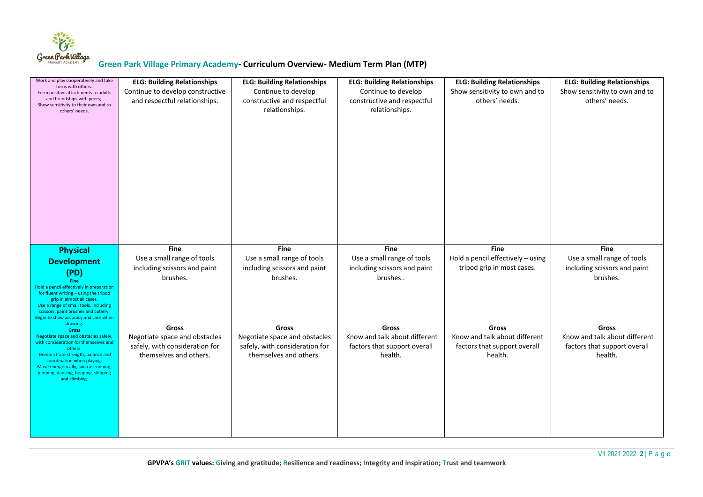

| Work and play cooperatively and take<br>turns with others.<br>Form positive attachments to adults<br>and friendships with peers;.<br>Show sensitivity to their own and to<br>others' needs.                                                                                                      | <b>ELG: Building Relationships</b><br>Continue to develop constructive<br>and respectful relationships.   | <b>ELG: Building Relationships</b><br>Continue to develop<br>constructive and respectful<br>relationships. | <b>ELG: Building Relationships</b><br>Continue to develop<br>constructive and respectful<br>relationships. | <b>ELG: Building Relationships</b><br>Show sensitivity to own and to<br>others' needs.   | <b>ELG: Building Relationships</b><br>Show sensitivity to own and to<br>others' needs.   |
|--------------------------------------------------------------------------------------------------------------------------------------------------------------------------------------------------------------------------------------------------------------------------------------------------|-----------------------------------------------------------------------------------------------------------|------------------------------------------------------------------------------------------------------------|------------------------------------------------------------------------------------------------------------|------------------------------------------------------------------------------------------|------------------------------------------------------------------------------------------|
| <b>Physical</b><br><b>Development</b><br>(PD)<br>Fine<br>Hold a pencil effectively in preparation<br>for fluent writing - using the tripod<br>grip in almost all cases.<br>Use a range of small tools, including<br>scissors, paint brushes and cutlery.<br>Begin to show accuracy and care when | <b>Fine</b><br>Use a small range of tools<br>including scissors and paint<br>brushes.                     | <b>Fine</b><br>Use a small range of tools<br>including scissors and paint<br>brushes.                      | <b>Fine</b><br>Use a small range of tools<br>including scissors and paint<br>brushes                       | <b>Fine</b><br>Hold a pencil effectively - using<br>tripod grip in most cases.           | <b>Fine</b><br>Use a small range of tools<br>including scissors and paint<br>brushes.    |
| drawing.<br><b>Gross</b><br>Negotiate space and obstacles safely,<br>with consideration for themselves and<br>others.<br>Demonstrate strength, balance and<br>coordination when playing.<br>Move energetically, such as running,<br>jumping, dancing, hopping, skipping<br>and climbing.         | <b>Gross</b><br>Negotiate space and obstacles<br>safely, with consideration for<br>themselves and others. | <b>Gross</b><br>Negotiate space and obstacles<br>safely, with consideration for<br>themselves and others.  | <b>Gross</b><br>Know and talk about different<br>factors that support overall<br>health.                   | <b>Gross</b><br>Know and talk about different<br>factors that support overall<br>health. | <b>Gross</b><br>Know and talk about different<br>factors that support overall<br>health. |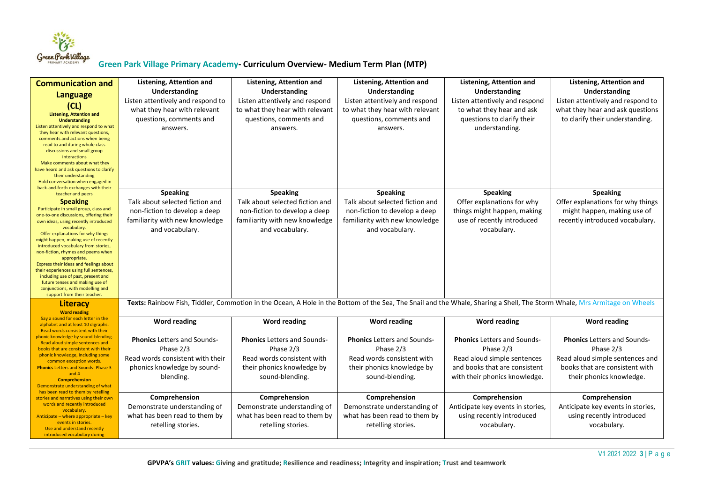

| <b>Communication and</b><br><b>Language</b><br>(CL)<br><b>Listening, Attention and</b><br><b>Understanding</b><br>Listen attentively and respond to what<br>they hear with relevant questions,<br>comments and actions when being<br>read to and during whole class<br>discussions and small group<br>interactions<br>Make comments about what they<br>have heard and ask questions to clarify<br>their understanding<br>Hold conversation when engaged in<br>back-and-forth exchanges with their                                                                                         | Listening, Attention and<br>Understanding<br>Listen attentively and respond to<br>what they hear with relevant<br>questions, comments and<br>answers. | Listening, Attention and<br>Understanding<br>Listen attentively and respond<br>to what they hear with relevant<br>questions, comments and<br>answers.                    | Listening, Attention and<br>Understanding<br>Listen attentively and respond<br>to what they hear with relevant<br>questions, comments and<br>answers. | Listening, Attention and<br>Understanding<br>Listen attentively and respond<br>to what they hear and ask<br>questions to clarify their<br>understanding. | Listening, Attention and<br>Understanding<br>Listen attentively and respond to<br>what they hear and ask questions<br>to clarify their understanding. |
|-------------------------------------------------------------------------------------------------------------------------------------------------------------------------------------------------------------------------------------------------------------------------------------------------------------------------------------------------------------------------------------------------------------------------------------------------------------------------------------------------------------------------------------------------------------------------------------------|-------------------------------------------------------------------------------------------------------------------------------------------------------|--------------------------------------------------------------------------------------------------------------------------------------------------------------------------|-------------------------------------------------------------------------------------------------------------------------------------------------------|----------------------------------------------------------------------------------------------------------------------------------------------------------|-------------------------------------------------------------------------------------------------------------------------------------------------------|
| teacher and peers<br><b>Speaking</b><br>Participate in small group, class and<br>one-to-one discussions, offering their<br>own ideas, using recently introduced<br>vocabulary.<br>Offer explanations for why things<br>might happen, making use of recently<br>introduced vocabulary from stories,<br>non-fiction, rhymes and poems when<br>appropriate.<br>Express their ideas and feelings about<br>their experiences using full sentences,<br>including use of past, present and<br>future tenses and making use of<br>conjunctions, with modelling and<br>support from their teacher. | <b>Speaking</b><br>Talk about selected fiction and<br>non-fiction to develop a deep<br>familiarity with new knowledge<br>and vocabulary.              | <b>Speaking</b><br>Talk about selected fiction and<br>non-fiction to develop a deep<br>familiarity with new knowledge<br>and vocabulary.                                 | <b>Speaking</b><br>Talk about selected fiction and<br>non-fiction to develop a deep<br>familiarity with new knowledge<br>and vocabulary.              | <b>Speaking</b><br>Offer explanations for why<br>things might happen, making<br>use of recently introduced<br>vocabulary.                                | <b>Speaking</b><br>Offer explanations for why things<br>might happen, making use of<br>recently introduced vocabulary.                                |
| Literacy<br><b>Word reading</b>                                                                                                                                                                                                                                                                                                                                                                                                                                                                                                                                                           |                                                                                                                                                       | Texts: Rainbow Fish, Tiddler, Commotion in the Ocean, A Hole in the Bottom of the Sea, The Snail and the Whale, Sharing a Shell, The Storm Whale, Mrs Armitage on Wheels |                                                                                                                                                       |                                                                                                                                                          |                                                                                                                                                       |
| Say a sound for each letter in the<br>alphabet and at least 10 digraphs.<br>Read words consistent with their                                                                                                                                                                                                                                                                                                                                                                                                                                                                              | Word reading                                                                                                                                          | Word reading                                                                                                                                                             | <b>Word reading</b>                                                                                                                                   | <b>Word reading</b>                                                                                                                                      | Word reading                                                                                                                                          |
| phonic knowledge by sound-blending.<br>Read aloud simple sentences and<br>books that are consistent with their<br>phonic knowledge, including some<br>common exception words.<br><b>Phonics Letters and Sounds-Phase 3</b><br>and $4$<br><b>Comprehension</b><br>Demonstrate understanding of what                                                                                                                                                                                                                                                                                        | <b>Phonics</b> Letters and Sounds-<br>Phase 2/3<br>Read words consistent with their<br>phonics knowledge by sound-<br>blending.                       | <b>Phonics Letters and Sounds-</b><br>Phase 2/3<br>Read words consistent with<br>their phonics knowledge by<br>sound-blending.                                           | <b>Phonics</b> Letters and Sounds-<br>Phase 2/3<br>Read words consistent with<br>their phonics knowledge by<br>sound-blending.                        | <b>Phonics</b> Letters and Sounds-<br>Phase 2/3<br>Read aloud simple sentences<br>and books that are consistent<br>with their phonics knowledge.         | <b>Phonics Letters and Sounds-</b><br>Phase 2/3<br>Read aloud simple sentences and<br>books that are consistent with<br>their phonics knowledge.      |
| has been read to them by retelling<br>stories and narratives using their own<br>words and recently introduced<br>vocabulary.<br>Anticipate – where appropriate – key<br>events in stories.<br>Use and understand recently<br>introduced vocabulary during                                                                                                                                                                                                                                                                                                                                 | Comprehension<br>Demonstrate understanding of<br>what has been read to them by<br>retelling stories.                                                  | Comprehension<br>Demonstrate understanding of<br>what has been read to them by<br>retelling stories.                                                                     | Comprehension<br>Demonstrate understanding of<br>what has been read to them by<br>retelling stories.                                                  | Comprehension<br>Anticipate key events in stories,<br>using recently introduced<br>vocabulary.                                                           | Comprehension<br>Anticipate key events in stories,<br>using recently introduced<br>vocabulary.                                                        |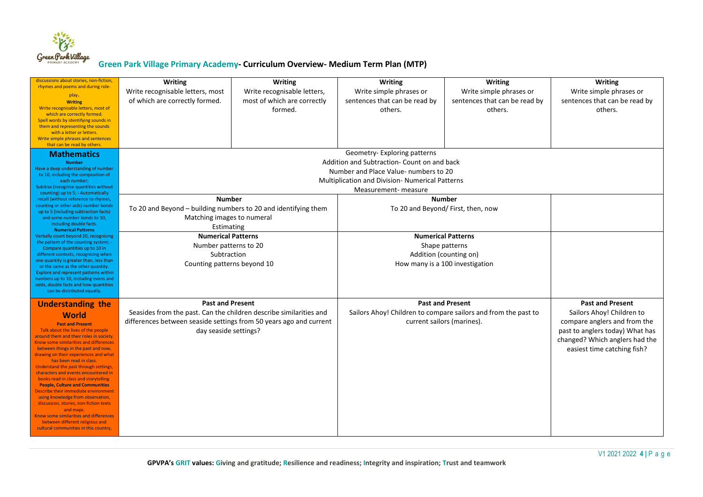

| discussions about stories, non-fiction,<br>rhymes and poems and during role-<br>play.<br><b>Writing</b><br>Write recognisable letters, most of<br>which are correctly formed.<br>Spell words by identifying sounds in<br>them and representing the sounds<br>with a letter or letters.<br>Write simple phrases and sentences<br>that can be read by others.                                                                                                                                                                                                                                                                                                                                                                             | Writing<br>Write recognisable letters, most<br>of which are correctly formed.                                                                                                                | Writing<br>Write recognisable letters,<br>most of which are correctly<br>formed. | Writing<br>Write simple phrases or<br>sentences that can be read by<br>others.                                                                                                                        | Writing<br>Write simple phrases or<br>sentences that can be read by<br>others. | <b>Writing</b><br>Write simple phrases or<br>sentences that can be read by<br>others.                                                                                                    |
|-----------------------------------------------------------------------------------------------------------------------------------------------------------------------------------------------------------------------------------------------------------------------------------------------------------------------------------------------------------------------------------------------------------------------------------------------------------------------------------------------------------------------------------------------------------------------------------------------------------------------------------------------------------------------------------------------------------------------------------------|----------------------------------------------------------------------------------------------------------------------------------------------------------------------------------------------|----------------------------------------------------------------------------------|-------------------------------------------------------------------------------------------------------------------------------------------------------------------------------------------------------|--------------------------------------------------------------------------------|------------------------------------------------------------------------------------------------------------------------------------------------------------------------------------------|
| <b>Mathematics</b><br><b>Number</b><br>Have a deep understanding of number<br>to 10, including the composition of<br>each number;<br>Subitise (recognise quantities without<br>counting) up to 5; - Automatically                                                                                                                                                                                                                                                                                                                                                                                                                                                                                                                       |                                                                                                                                                                                              |                                                                                  | Geometry- Exploring patterns<br>Addition and Subtraction- Count on and back<br>Number and Place Value- numbers to 20<br><b>Multiplication and Division- Numerical Patterns</b><br>Measurement-measure |                                                                                |                                                                                                                                                                                          |
| recall (without reference to rhymes,<br>counting or other aids) number bonds<br>up to 5 (including subtraction facts)<br>and some number bonds to 10,<br>including double facts.<br><b>Numerical Patterns</b><br>Verbally count beyond 20, recognising<br>the pattern of the counting system; -<br>Compare quantities up to 10 in<br>different contexts, recognising when<br>one quantity is greater than, less than<br>or the same as the other quantity.<br>Explore and represent patterns within<br>numbers up to 10, including evens and<br>odds, double facts and how quantities<br>can be distributed equally.                                                                                                                    | <b>Number</b><br>To 20 and Beyond - building numbers to 20 and identifying them<br>Matching images to numeral<br>Estimating                                                                  |                                                                                  | <b>Number</b><br>To 20 and Beyond/ First, then, now                                                                                                                                                   |                                                                                |                                                                                                                                                                                          |
|                                                                                                                                                                                                                                                                                                                                                                                                                                                                                                                                                                                                                                                                                                                                         | <b>Numerical Patterns</b><br>Number patterns to 20<br>Subtraction<br>Counting patterns beyond 10                                                                                             |                                                                                  | <b>Numerical Patterns</b><br>Shape patterns<br>Addition (counting on)<br>How many is a 100 investigation                                                                                              |                                                                                |                                                                                                                                                                                          |
| <b>Understanding the</b><br><b>World</b><br><b>Past and Present</b><br>Talk about the lives of the people<br>around them and their roles in society.<br>Know some similarities and differences<br>between things in the past and now,<br>drawing on their experiences and what<br>has been read in class.<br>Understand the past through settings,<br>characters and events encountered in<br>books read in class and storytelling.<br><b>People, Culture and Communities</b><br>Describe their immediate environment<br>using knowledge from observation,<br>discussion, stories, non-fiction texts<br>and maps.<br>Know some similarities and differences<br>between different religious and<br>cultural communities in this country, | <b>Past and Present</b><br>Seasides from the past. Can the children describe similarities and<br>differences between seaside settings from 50 years ago and current<br>day seaside settings? |                                                                                  | <b>Past and Present</b><br>Sailors Ahoy! Children to compare sailors and from the past to<br>current sailors (marines).                                                                               |                                                                                | <b>Past and Present</b><br>Sailors Ahoy! Children to<br>compare anglers and from the<br>past to anglers today) What has<br>changed? Which anglers had the<br>easiest time catching fish? |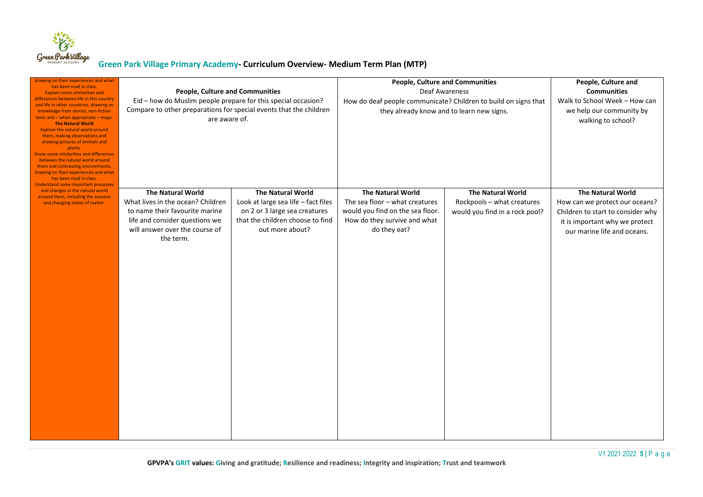

| drawing on their experiences and what<br>has been read in class.<br><b>Explain some similarities and</b><br>differences between life in this country<br>and life in other countries, drawing on<br>knowledge from stories, non-fiction<br>texts and - when appropriate - maps.<br><b>The Natural World</b><br><b>Explore the natural world around</b><br>them, making observations and<br>drawing pictures of animals and<br>plants.<br>Know some similarities and differences<br>between the natural world around<br>them and contrasting environments,<br>drawing on their experiences and what<br>has been read in class.<br><b>Understand some important processes</b> | <b>People, Culture and Communities</b><br>Eid - how do Muslim people prepare for this special occasion?<br>Compare to other preparations for special events that the children<br>are aware of. |                                                                                                                                                         | <b>People, Culture and Communities</b><br>Deaf Awareness<br>How do deaf people communicate? Children to build on signs that<br>they already know and to learn new signs. |                                                                                          | People, Culture and<br><b>Communities</b><br>Walk to School Week - How can<br>we help our community by<br>walking to school?                                     |
|----------------------------------------------------------------------------------------------------------------------------------------------------------------------------------------------------------------------------------------------------------------------------------------------------------------------------------------------------------------------------------------------------------------------------------------------------------------------------------------------------------------------------------------------------------------------------------------------------------------------------------------------------------------------------|------------------------------------------------------------------------------------------------------------------------------------------------------------------------------------------------|---------------------------------------------------------------------------------------------------------------------------------------------------------|--------------------------------------------------------------------------------------------------------------------------------------------------------------------------|------------------------------------------------------------------------------------------|------------------------------------------------------------------------------------------------------------------------------------------------------------------|
| and changes in the natural world<br>around them, including the seasons<br>and changing states of matter.                                                                                                                                                                                                                                                                                                                                                                                                                                                                                                                                                                   | <b>The Natural World</b><br>What lives in the ocean? Children<br>to name their favourite marine<br>life and consider questions we<br>will answer over the course of<br>the term.               | <b>The Natural World</b><br>Look at large sea life - fact files<br>on 2 or 3 large sea creatures<br>that the children choose to find<br>out more about? | <b>The Natural World</b><br>The sea floor $-$ what creatures<br>would you find on the sea floor.<br>How do they survive and what<br>do they eat?                         | <b>The Natural World</b><br>Rockpools - what creatures<br>would you find in a rock pool? | <b>The Natural World</b><br>How can we protect our oceans?<br>Children to start to consider why<br>it is important why we protect<br>our marine life and oceans. |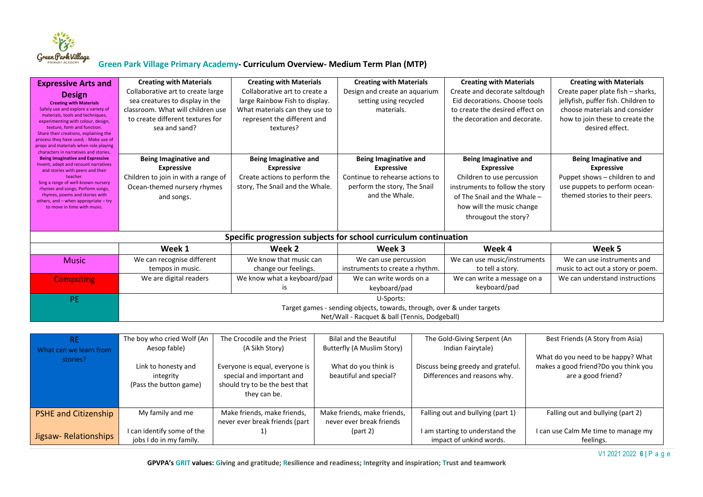

| <b>Expressive Arts and</b><br><b>Design</b><br><b>Creating with Materials</b><br>Safely use and explore a variety of<br>materials, tools and techniques,<br>experimenting with colour, design,<br>texture, form and function.<br>Share their creations, explaining the  | <b>Creating with Materials</b><br>Collaborative art to create large<br>sea creatures to display in the<br>classroom. What will children use<br>to create different textures for<br>sea and sand? | <b>Creating with Materials</b><br>Collaborative art to create a<br>large Rainbow Fish to display.<br>What materials can they use to<br>represent the different and<br>textures? | <b>Creating with Materials</b><br>Design and create an aquarium<br>setting using recycled<br>materials. | <b>Creating with Materials</b><br>Create and decorate saltdough<br>Eid decorations. Choose tools<br>to create the desired effect on<br>the decoration and decorate.     | <b>Creating with Materials</b><br>Create paper plate fish - sharks,<br>jellyfish, puffer fish. Children to<br>choose materials and consider<br>how to join these to create the<br>desired effect. |
|-------------------------------------------------------------------------------------------------------------------------------------------------------------------------------------------------------------------------------------------------------------------------|--------------------------------------------------------------------------------------------------------------------------------------------------------------------------------------------------|---------------------------------------------------------------------------------------------------------------------------------------------------------------------------------|---------------------------------------------------------------------------------------------------------|-------------------------------------------------------------------------------------------------------------------------------------------------------------------------|---------------------------------------------------------------------------------------------------------------------------------------------------------------------------------------------------|
| process they have used; - Make use of<br>props and materials when role playing<br>characters in narratives and stories.<br><b>Being Imaginative and Expressive</b>                                                                                                      | <b>Being Imaginative and</b>                                                                                                                                                                     | <b>Being Imaginative and</b>                                                                                                                                                    | <b>Being Imaginative and</b>                                                                            | <b>Being Imaginative and</b>                                                                                                                                            | <b>Being Imaginative and</b>                                                                                                                                                                      |
| Invent, adapt and recount narratives<br>and stories with peers and their<br>teacher.<br>Sing a range of well-known nursery<br>rhymes and songs; Perform songs,<br>rhymes, poems and stories with<br>others, and - when appropriate - try<br>to move in time with music. | <b>Expressive</b><br>Children to join in with a range of<br>Ocean-themed nursery rhymes<br>and songs.                                                                                            | <b>Expressive</b><br>Create actions to perform the<br>story, The Snail and the Whale.                                                                                           | <b>Expressive</b><br>Continue to rehearse actions to<br>perform the story, The Snail<br>and the Whale.  | <b>Expressive</b><br>Children to use percussion<br>instruments to follow the story<br>of The Snail and the Whale -<br>how will the music change<br>througout the story? | <b>Expressive</b><br>Puppet shows - children to and<br>use puppets to perform ocean-<br>themed stories to their peers.                                                                            |
|                                                                                                                                                                                                                                                                         |                                                                                                                                                                                                  |                                                                                                                                                                                 | Specific progression subjects for school curriculum continuation                                        |                                                                                                                                                                         |                                                                                                                                                                                                   |
|                                                                                                                                                                                                                                                                         | Week 1                                                                                                                                                                                           | Week 2                                                                                                                                                                          | Week 3                                                                                                  | Week 4                                                                                                                                                                  | Week 5                                                                                                                                                                                            |
| <b>Music</b>                                                                                                                                                                                                                                                            | We can recognise different<br>tempos in music.                                                                                                                                                   | We know that music can<br>change our feelings.                                                                                                                                  | We can use percussion<br>instruments to create a rhythm.                                                | We can use music/instruments<br>to tell a story.                                                                                                                        | We can use instruments and<br>music to act out a story or poem.                                                                                                                                   |
| <b>Computing</b>                                                                                                                                                                                                                                                        | We are digital readers                                                                                                                                                                           | We know what a keyboard/pad<br>is                                                                                                                                               | We can write words on a<br>keyboard/pad                                                                 | We can write a message on a<br>keyboard/pad                                                                                                                             | We can understand instructions                                                                                                                                                                    |
| <b>PE</b>                                                                                                                                                                                                                                                               | U-Sports:<br>Target games - sending objects, towards, through, over & under targets<br>Net/Wall - Racquet & ball (Tennis, Dodgeball)                                                             |                                                                                                                                                                                 |                                                                                                         |                                                                                                                                                                         |                                                                                                                                                                                                   |
|                                                                                                                                                                                                                                                                         |                                                                                                                                                                                                  |                                                                                                                                                                                 |                                                                                                         |                                                                                                                                                                         |                                                                                                                                                                                                   |

| <b>RE</b>                   | The boy who cried Wolf (An | The Crocodile and the Priest   | Bilal and the Beautiful     | The Gold-Giving Serpent (An        | Best Friends (A Story from Asia)     |
|-----------------------------|----------------------------|--------------------------------|-----------------------------|------------------------------------|--------------------------------------|
| What can we learn from      | Aesop fable)               | (A Sikh Story)                 | Butterfly (A Muslim Story)  | Indian Fairytale)                  |                                      |
| stories?                    |                            |                                |                             |                                    | What do you need to be happy? What   |
|                             | Link to honesty and        | Everyone is equal, everyone is | What do you think is        | Discuss being greedy and grateful. | makes a good friend?Do you think you |
|                             | integrity                  | special and important and      | beautiful and special?      | Differences and reasons why.       | are a good friend?                   |
|                             | (Pass the button game)     | should try to be the best that |                             |                                    |                                      |
|                             |                            | they can be.                   |                             |                                    |                                      |
|                             |                            |                                |                             |                                    |                                      |
| <b>PSHE and Citizenship</b> | My family and me           | Make friends, make friends,    | Make friends, make friends, | Falling out and bullying (part 1)  | Falling out and bullying (part 2)    |
|                             |                            | never ever break friends (part | never ever break friends    |                                    |                                      |
|                             | I can identify some of the |                                | part 2)                     | I am starting to understand the    | I can use Calm Me time to manage my  |
| Jigsaw-Relationships        | jobs I do in my family.    |                                |                             | impact of unkind words.            | feelings.                            |

V1 2021 2022 **6 |** P a g e